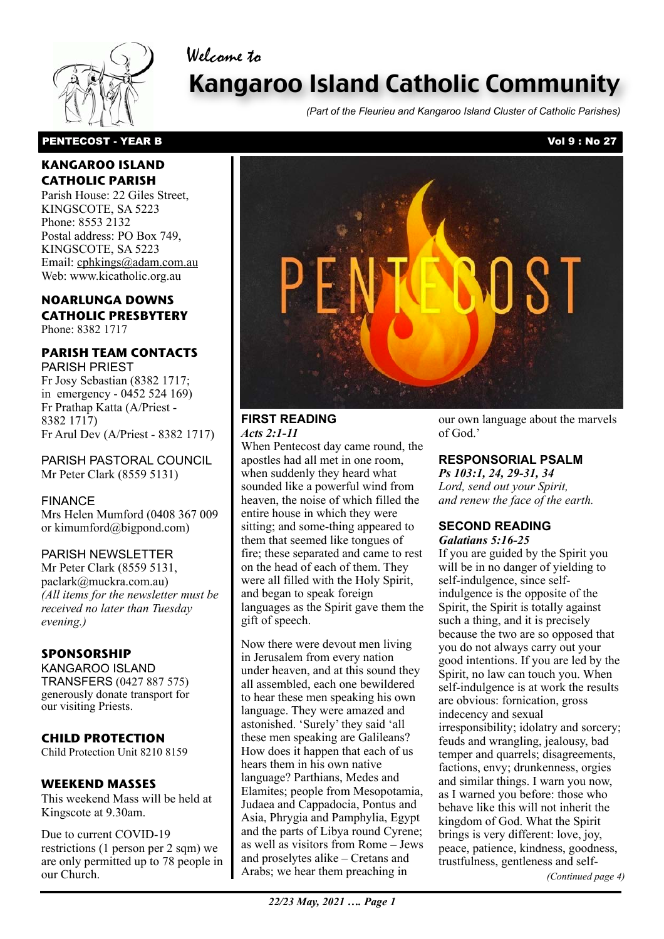

Welcome to

# Kangaroo Island Catholic Community

*(Part of the Fleurieu and Kangaroo Island Cluster of Catholic Parishes)*

### PENTECOST - YEAR B Vol 9 : No 27

## **KANGAROO ISLAND CATHOLIC PARISH**

Parish House: 22 Giles Street, KINGSCOTE, SA 5223 Phone: 8553 2132 Postal address: PO Box 749, KINGSCOTE, SA 5223 Email: cphkings@adam.com.au Web: www.kicatholic.org.au

**NOARLUNGA DOWNS CATHOLIC PRESBYTERY** Phone: 8382 1717

# **PARISH TEAM CONTACTS**

PARISH PRIEST Fr Josy Sebastian (8382 1717; in emergency - 0452 524 169) Fr Prathap Katta (A/Priest - 8382 1717) Fr Arul Dev (A/Priest - 8382 1717)

PARISH PASTORAL COUNCIL Mr Peter Clark (8559 5131)

## FINANCE

Mrs Helen Mumford (0408 367 009 or kimumford@bigpond.com)

## PARISH NEWSLETTER

Mr Peter Clark (8559 5131, paclark@muckra.com.au) *(All items for the newsletter must be received no later than Tuesday evening.)*

## **SPONSORSHIP**

KANGAROO ISLAND TRANSFERS (0427 887 575) generously donate transport for our visiting Priests.

## **CHILD PROTECTION**

Child Protection Unit 8210 8159

## **WEEKEND MASSES**

This weekend Mass will be held at Kingscote at 9.30am.

Due to current COVID-19 restrictions (1 person per 2 sqm) we are only permitted up to 78 people in our Church.



#### **FIRST READING** *Acts 2:1-11*

When Pentecost day came round, the apostles had all met in one room, when suddenly they heard what sounded like a powerful wind from heaven, the noise of which filled the entire house in which they were sitting; and some-thing appeared to them that seemed like tongues of fire; these separated and came to rest on the head of each of them. They were all filled with the Holy Spirit, and began to speak foreign languages as the Spirit gave them the gift of speech.

Arabs; we hear them preaching in Now there were devout men living in Jerusalem from every nation under heaven, and at this sound they all assembled, each one bewildered to hear these men speaking his own language. They were amazed and astonished. 'Surely' they said 'all these men speaking are Galileans? How does it happen that each of us hears them in his own native language? Parthians, Medes and Elamites; people from Mesopotamia, Judaea and Cappadocia, Pontus and Asia, Phrygia and Pamphylia, Egypt and the parts of Libya round Cyrene; as well as visitors from Rome – Jews and proselytes alike – Cretans and

our own language about the marvels of God.'

## **RESPONSORIAL PSALM**

*Ps 103:1, 24, 29-31, 34 Lord, send out your Spirit, and renew the face of the earth.*

# **SECOND READING**

*Galatians 5:16-25*

If you are guided by the Spirit you will be in no danger of yielding to self-indulgence, since selfindulgence is the opposite of the Spirit, the Spirit is totally against such a thing, and it is precisely because the two are so opposed that you do not always carry out your good intentions. If you are led by the Spirit, no law can touch you. When self-indulgence is at work the results are obvious: fornication, gross indecency and sexual irresponsibility; idolatry and sorcery; feuds and wrangling, jealousy, bad temper and quarrels; disagreements, factions, envy; drunkenness, orgies and similar things. I warn you now, as I warned you before: those who behave like this will not inherit the kingdom of God. What the Spirit brings is very different: love, joy, peace, patience, kindness, goodness, trustfulness, gentleness and self-

*(Continued page 4)*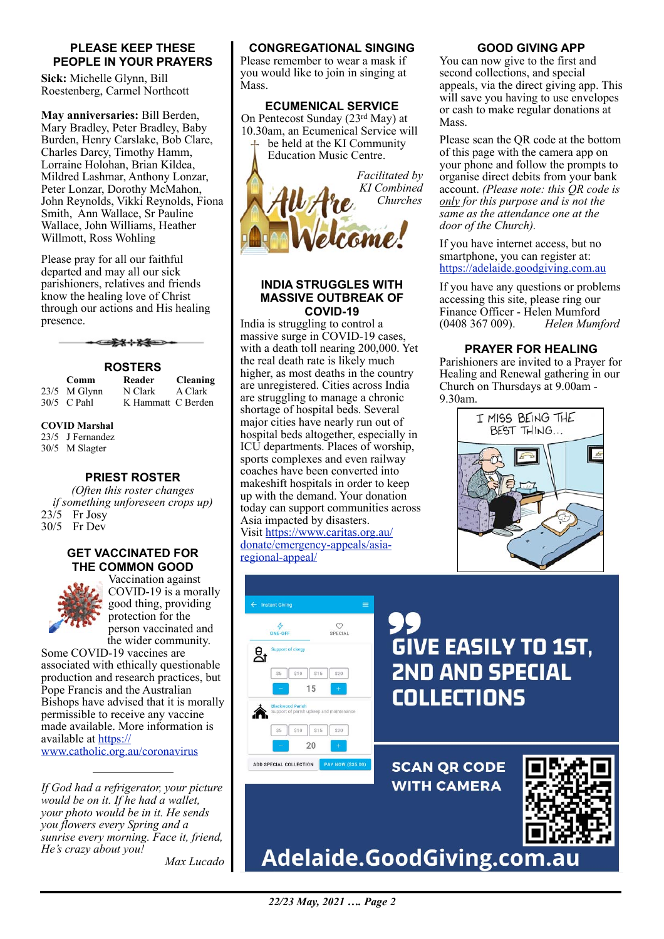## **PLEASE KEEP THESE PEOPLE IN YOUR PRAYERS**

**Sick:** Michelle Glynn, Bill Roestenberg, Carmel Northcott

**May anniversaries:** Bill Berden, Mary Bradley, Peter Bradley, Baby Burden, Henry Carslake, Bob Clare, Charles Darcy, Timothy Hamm, Lorraine Holohan, Brian Kildea, Mildred Lashmar, Anthony Lonzar, Peter Lonzar, Dorothy McMahon, John Reynolds, Vikki Reynolds, Fiona Smith, Ann Wallace, Sr Pauline Wallace, John Williams, Heather Willmott, Ross Wohling

Please pray for all our faithful departed and may all our sick parishioners, relatives and friends know the healing love of Christ through our actions and His healing presence.



### **COVID Marshal**

23/5 J Fernandez

30/5 M Slagter

## **PRIEST ROSTER**

*(Often this roster changes if something unforeseen crops up)* 23/5 Fr Josy 30/5 Fr Dev

### **GET VACCINATED FOR THE COMMON GOOD**



Vaccination against COVID-19 is a morally good thing, providing protection for the person vaccinated and the wider community.

Some COVID-19 vaccines are associated with ethically questionable production and research practices, but Pope Francis and the Australian Bishops have advised that it is morally permissible to receive any vaccine made available. More information is available at [https://](https://www.catholic.org.au/coronavirus)

[www.catholic.org.au/coronavirus](https://www.catholic.org.au/coronavirus)

*If God had a refrigerator, your picture would be on it. If he had a wallet, your photo would be in it. He sends you flowers every Spring and a sunrise every morning. Face it, friend, He's crazy about you! Max Lucado* **CONGREGATIONAL SINGING**

Please remember to wear a mask if you would like to join in singing at Mass.

# **ECUMENICAL SERVICE**

On Pentecost Sunday (23rd May) at 10.30am, an Ecumenical Service will be held at the KI Community





#### **INDIA STRUGGLES WITH MASSIVE OUTBREAK OF COVID-19**

India is struggling to control a massive surge in COVID-19 cases, with a death toll nearing 200,000. Yet the real death rate is likely much higher, as most deaths in the country are unregistered. Cities across India are struggling to manage a chronic shortage of hospital beds. Several major cities have nearly run out of hospital beds altogether, especially in ICU departments. Places of worship, sports complexes and even railway coaches have been converted into makeshift hospitals in order to keep up with the demand. Your donation today can support communities across Asia impacted by disasters.

Visit [https://www.caritas.org.au/](https://www.caritas.org.au/donate/emergency-appeals/asia-regional-appeal/) [donate/emergency-appeals/asia](https://www.caritas.org.au/donate/emergency-appeals/asia-regional-appeal/)[regional-appeal/](https://www.caritas.org.au/donate/emergency-appeals/asia-regional-appeal/)



## **GOOD GIVING APP**

You can now give to the first and second collections, and special appeals, via the direct giving app. This will save you having to use envelopes or cash to make regular donations at Mass.

Please scan the QR code at the bottom of this page with the camera app on your phone and follow the prompts to organise direct debits from your bank account. *(Please note: this QR code is only for this purpose and is not the same as the attendance one at the door of the Church).*

If you have internet access, but no smartphone, you can register at: <https://adelaide.goodgiving.com.au>

If you have any questions or problems accessing this site, please ring our Finance Officer - Helen Mumford<br>(0408 367 009). Helen Mumford (0408 367 009). *Helen Mumford*

## **PRAYER FOR HEALING**

Parishioners are invited to a Prayer for Healing and Renewal gathering in our Church on Thursdays at 9.00am - 9.30am.



# **GIVE EASILY TO 1ST, 2ND AND SPECIAL COLLECTIONS**

**SCAN QR CODE WITH CAMERA** 



Adelaide.GoodGiving.com.au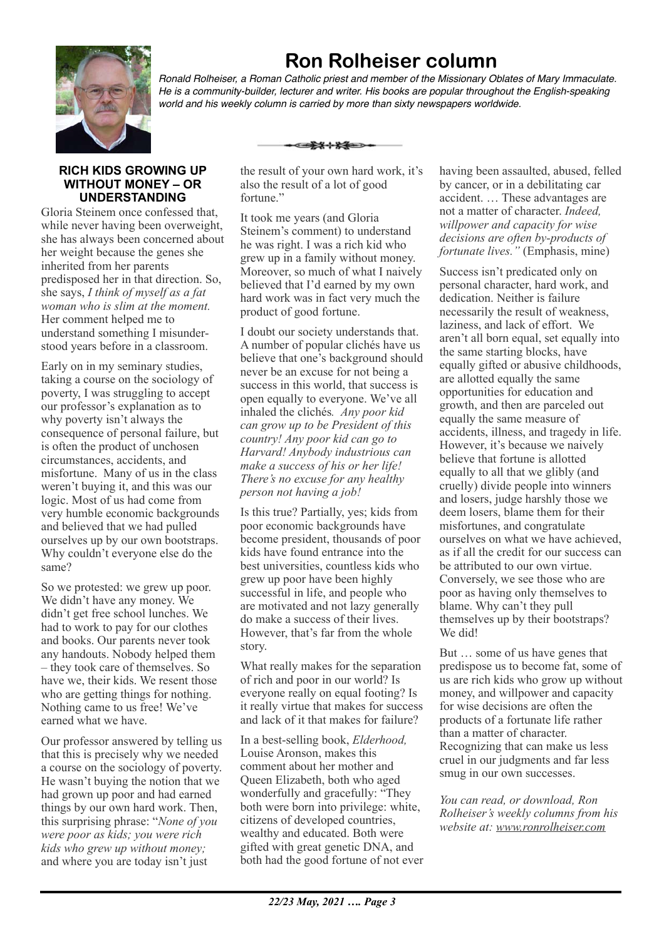

# **Ron Rolheiser column**

*Ronald Rolheiser, a Roman Catholic priest and member of the Missionary Oblates of Mary Immaculate. He is a community-builder, lecturer and writer. His books are popular throughout the English-speaking world and his weekly column is carried by more than sixty newspapers worldwide.*

## **RICH KIDS GROWING UP WITHOUT MONEY – OR UNDERSTANDING**

Gloria Steinem once confessed that, while never having been overweight, she has always been concerned about her weight because the genes she inherited from her parents predisposed her in that direction. So, she says, *I think of myself as a fat woman who is slim at the moment.*  Her comment helped me to understand something I misunderstood years before in a classroom.

Early on in my seminary studies, taking a course on the sociology of poverty, I was struggling to accept our professor's explanation as to why poverty isn't always the consequence of personal failure, but is often the product of unchosen circumstances, accidents, and misfortune. Many of us in the class weren't buying it, and this was our logic. Most of us had come from very humble economic backgrounds and believed that we had pulled ourselves up by our own bootstraps. Why couldn't everyone else do the same?

So we protested: we grew up poor. We didn't have any money. We didn't get free school lunches. We had to work to pay for our clothes and books. Our parents never took any handouts. Nobody helped them – they took care of themselves. So have we, their kids. We resent those who are getting things for nothing. Nothing came to us free! We've earned what we have.

Our professor answered by telling us that this is precisely why we needed a course on the sociology of poverty. He wasn't buying the notion that we had grown up poor and had earned things by our own hard work. Then, this surprising phrase: "*None of you were poor as kids; you were rich kids who grew up without money;*  and where you are today isn't just

the result of your own hard work, it's also the result of a lot of good fortune."

ఆ<del>≵⊀⊹⊁≸</del>

It took me years (and Gloria Steinem's comment) to understand he was right. I was a rich kid who grew up in a family without money. Moreover, so much of what I naively believed that I'd earned by my own hard work was in fact very much the product of good fortune.

I doubt our society understands that. A number of popular clichés have us believe that one's background should never be an excuse for not being a success in this world, that success is open equally to everyone. We've all inhaled the clichés*. Any poor kid can grow up to be President of this country! Any poor kid can go to Harvard! Anybody industrious can make a success of his or her life! There's no excuse for any healthy person not having a job!*

Is this true? Partially, yes; kids from poor economic backgrounds have become president, thousands of poor kids have found entrance into the best universities, countless kids who grew up poor have been highly successful in life, and people who are motivated and not lazy generally do make a success of their lives. However, that's far from the whole story.

What really makes for the separation of rich and poor in our world? Is everyone really on equal footing? Is it really virtue that makes for success and lack of it that makes for failure?

In a best-selling book, *Elderhood,* Louise Aronson, makes this comment about her mother and Queen Elizabeth, both who aged wonderfully and gracefully: "They both were born into privilege: white, citizens of developed countries, wealthy and educated. Both were gifted with great genetic DNA, and both had the good fortune of not ever

having been assaulted, abused, felled by cancer, or in a debilitating car accident. … These advantages are not a matter of character. *Indeed, willpower and capacity for wise decisions are often by-products of fortunate lives."* (Emphasis, mine)

Success isn't predicated only on personal character, hard work, and dedication. Neither is failure necessarily the result of weakness, laziness, and lack of effort. We aren't all born equal, set equally into the same starting blocks, have equally gifted or abusive childhoods, are allotted equally the same opportunities for education and growth, and then are parceled out equally the same measure of accidents, illness, and tragedy in life. However, it's because we naively believe that fortune is allotted equally to all that we glibly (and cruelly) divide people into winners and losers, judge harshly those we deem losers, blame them for their misfortunes, and congratulate ourselves on what we have achieved, as if all the credit for our success can be attributed to our own virtue. Conversely, we see those who are poor as having only themselves to blame. Why can't they pull themselves up by their bootstraps? We did!

But … some of us have genes that predispose us to become fat, some of us are rich kids who grow up without money, and willpower and capacity for wise decisions are often the products of a fortunate life rather than a matter of character. Recognizing that can make us less cruel in our judgments and far less smug in our own successes.

*You can read, or download, Ron Rolheiser's weekly columns from his website at: www.ronrolheiser.com*